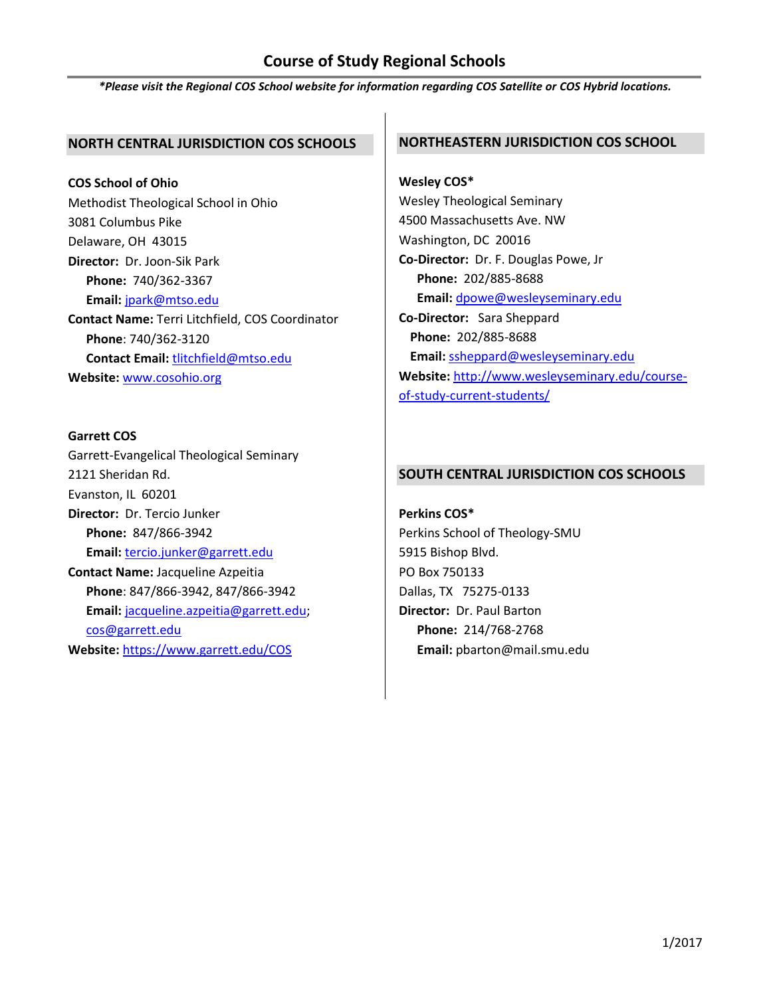# **Course of Study Regional Schools**

*\*Please visit the Regional COS School website for information regarding COS Satellite or COS Hybrid locations.*

# **NORTH CENTRAL JURISDICTION COS SCHOOLS**

**COS School of Ohio** Methodist Theological School in Ohio 3081 Columbus Pike Delaware, OH 43015 **Director:** Dr. Joon-Sik Park **Phone:** 740/362-3367 **Email:** [jpark@mtso.edu](mailto:jpark@mtso.edu) **Contact Name:** Terri Litchfield, COS Coordinator **Phone**: 740/362-3120 **Contact Email:** [tlitchfield@mtso.edu](mailto:tlitchfield@mtso.edu) **Website:** [www.cosohio.org](http://www.cosohio.org/)

## **Garrett COS**

Garrett-Evangelical Theological Seminary 2121 Sheridan Rd. Evanston, IL 60201 **Director:** Dr. Tercio Junker **Phone:** 847/866-3942 **Email:** [tercio.junker@garrett.edu](mailto:tercio.junker@garrett.edu) **Contact Name:** Jacqueline Azpeitia **Phone**: 847/866-3942, 847/866-3942 **Email:** [jacqueline.azpeitia@garrett.edu;](mailto:jacqueline.azpeitia@garrett.edu) [cos@garrett.edu](mailto:cos@garrett.edu) **Website:** <https://www.garrett.edu/COS>

# **NORTHEASTERN JURISDICTION COS SCHOOL**

**Wesley COS\*** Wesley Theological Seminary 4500 Massachusetts Ave. NW Washington, DC 20016 **Co-Director:** Dr. F. Douglas Powe, Jr **Phone:** 202/885-8688 **Email:** [dpowe@wesleyseminary.edu](mailto:dpowe@wesleyseminary.edu) **Co-Director:** Sara Sheppard **Phone:** 202/885-8688 **Email:** [ssheppard@wesleyseminary.edu](mailto:ssheppard@wesleyseminary.edu) **Website:** [http://www.wesleyseminary.edu/course](http://www.wesleyseminary.edu/course-of-study-current-students/)[of-study-current-students/](http://www.wesleyseminary.edu/course-of-study-current-students/)

# **SOUTH CENTRAL JURISDICTION COS SCHOOLS**

**Perkins COS\*** Perkins School of Theology-SMU 5915 Bishop Blvd. PO Box 750133 Dallas, TX 75275-0133 **Director:** Dr. Paul Barton **Phone:** 214/768-2768 **Email:** pbarton@mail.smu.edu